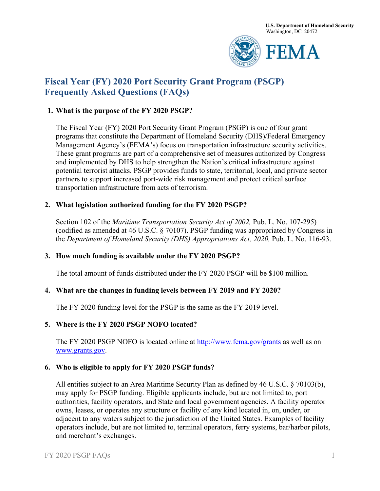

# **Fiscal Year (FY) 2020 Port Security Grant Program (PSGP) Frequently Asked Questions (FAQs)**

## **1. What is the purpose of the FY 2020 PSGP?**

The Fiscal Year (FY) 2020 Port Security Grant Program (PSGP) is one of four grant programs that constitute the Department of Homeland Security (DHS)/Federal Emergency Management Agency's (FEMA's) focus on transportation infrastructure security activities. These grant programs are part of a comprehensive set of measures authorized by Congress and implemented by DHS to help strengthen the Nation's critical infrastructure against potential terrorist attacks. PSGP provides funds to state, territorial, local, and private sector partners to support increased port-wide risk management and protect critical surface transportation infrastructure from acts of terrorism.

## **2. What legislation authorized funding for the FY 2020 PSGP?**

Section 102 of the *Maritime Transportation Security Act of 2002*, Pub. L. No. 107-295) (codified as amended at 46 U.S.C. § 70107). PSGP funding was appropriated by Congress in the *Department of Homeland Security (DHS) Appropriations Act, 2020*, Pub. L. No. 116-93.

# **3. How much funding is available under the FY 2020 PSGP?**

The total amount of funds distributed under the FY 2020 PSGP will be \$100 million.

#### **4. What are the cha**n**ges in funding levels between FY 2019 and FY 2020?**

The FY 2020 funding level for the PSGP is the same as the FY 2019 level.

#### **5. Where i**s **the FY 2020 PSGP NOFO located?**

The FY 2020 PSGP NOFO is located online at<http://www.fema.gov/grants> as well as on [www.grants.gov.](http://www.grants.gov/)

#### **6. Who is eligible to apply for FY 2020 PSGP funds?**

All entities subject to an Area Maritime Security Plan as defined by 46 U.S.C. § 70103(b), may apply for PSGP funding. Eligible applicants include, but are not limited to, port authorities, facility operators, and State and local government agencies. A facility operator owns, leases, or operates any structure or facility of any kind located in, on, under, or adjacent to any waters subject to the jurisdiction of the United States. Examples of facility operators include, but are not limited to, terminal operators, ferry systems, bar/harbor pilots, and merchant's exchanges.